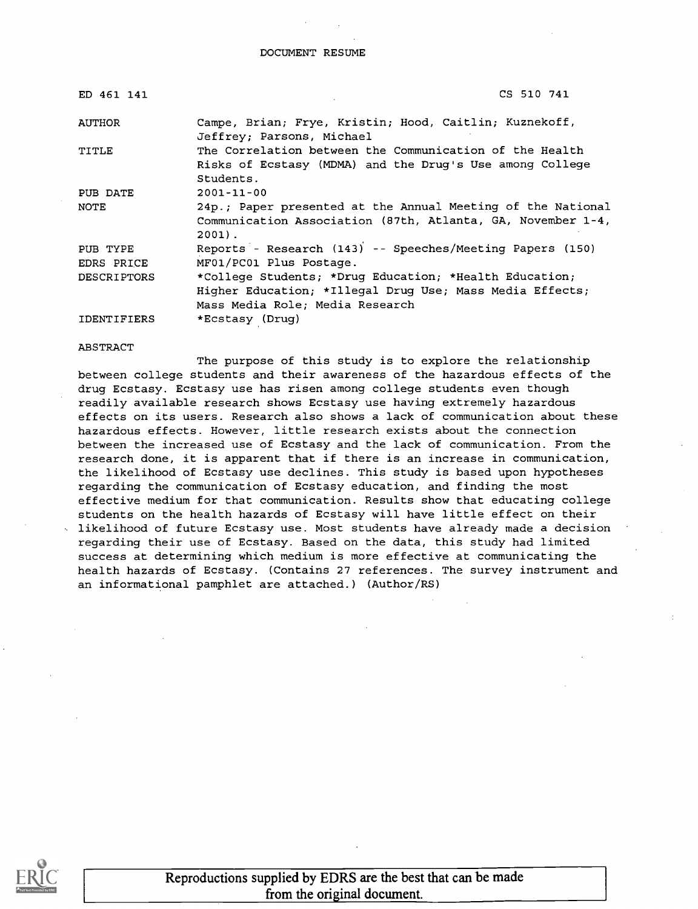#### DOCUMENT RESUME

| ED 461 141         | CS 510 741                                                                                                                             |
|--------------------|----------------------------------------------------------------------------------------------------------------------------------------|
| AUTHOR             | Campe, Brian; Frye, Kristin; Hood, Caitlin; Kuznekoff,<br>Jeffrey; Parsons, Michael                                                    |
| TITLE              | The Correlation between the Communication of the Health<br>Risks of Ecstasy (MDMA) and the Drug's Use among College<br>Students.       |
| PUB DATE           | $2001 - 11 - 00$                                                                                                                       |
| NOTE               | 24p.; Paper presented at the Annual Meeting of the National<br>Communication Association (87th, Atlanta, GA, November 1-4,<br>$2001$ . |
| PUB TYPE           | Reports - Research (143) -- Speeches/Meeting Papers (150)                                                                              |
| EDRS PRICE         | MF01/PC01 Plus Postage.                                                                                                                |
| <b>DESCRIPTORS</b> | *College Students; *Drug Education; *Health Education;                                                                                 |
|                    | Higher Education; *Illegal Drug Use; Mass Media Effects;                                                                               |
|                    | Mass Media Role; Media Research                                                                                                        |
| <b>IDENTIFIERS</b> | *Ecstasy (Drug)                                                                                                                        |

#### ABSTRACT

The purpose of this study is to explore the relationship between college students and their awareness of the hazardous effects of the drug Ecstasy. Ecstasy use has risen among college students even though readily available research shows Ecstasy use having extremely hazardous effects on its users. Research also shows a lack of communication about these hazardous effects. However, little research exists about the connection between the increased use of Ecstasy and the lack of communication. From the research done, it is apparent that if there is an increase in communication, the likelihood of Ecstasy use declines. This study is based upon hypotheses regarding the communication of Ecstasy education, and finding the most effective medium for that communication. Results show that educating college students on the health hazards of Ecstasy will have little effect on their likelihood of future Ecstasy use. Most students have already made a decision regarding their use of Ecstasy. Based on the data, this study had limited success at determining which medium is more effective at communicating the health hazards of Ecstasy. (Contains 27 references. The survey instrument and an informational pamphlet are attached.) (Author/RS)



Reproductions supplied by EDRS are the best that can be made from the original document.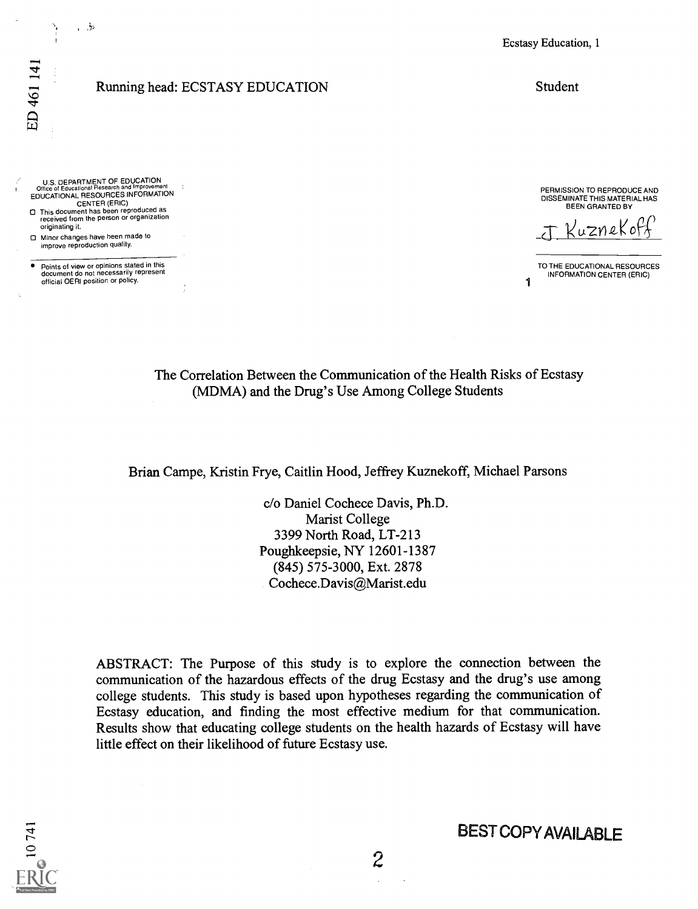#### Running head: ECSTASY EDUCATION

U.S. DEPARTMENT OF EDUCATION<br>Office of Educational Research and Improvement<br>EDUCATIONAL RESOURCES INFORMATION

CENTER (ERIC)<br>O This document has been reproduced as<br>received from the person or organization originating it.

0 Minor changes have been made to improve reproduction quality.

, 5

Points of view or opinions stated in this document do not necessarily represent official OERI position or policy.

Ecstasy Education, 1

Student

PERMISSION TO REPRODUCE AND DISSEMINATE THIS MATERIAL HAS BEEN GRANTED BY

Kuznekof

1 TO THE EDUCATIONAL RESOURCES INFORMATION CENTER (ERIC)

The Correlation Between the Communication of the Health Risks of Ecstasy (MDMA) and the Drug's Use Among College Students

Brian Campe, Kristin Frye, Caitlin Hood, Jeffrey Kuznekoff, Michael Parsons

c/o Daniel Cochece Davis, Ph.D. Marist College 3399 North Road, LT-213 Poughkeepsie, NY 12601-1387 (845) 575-3000, Ext. 2878 Cochece.Davis@Marist.edu

ABSTRACT: The Purpose of this study is to explore the connection between the communication of the hazardous effects of the drug Ecstasy and the drug's use among college students. This study is based upon hypotheses regarding the communication of Ecstasy education, and finding the most effective medium for that communication. Results show that educating college students on the health hazards of Ecstasy will have little effect on their likelihood of future Ecstasy use.

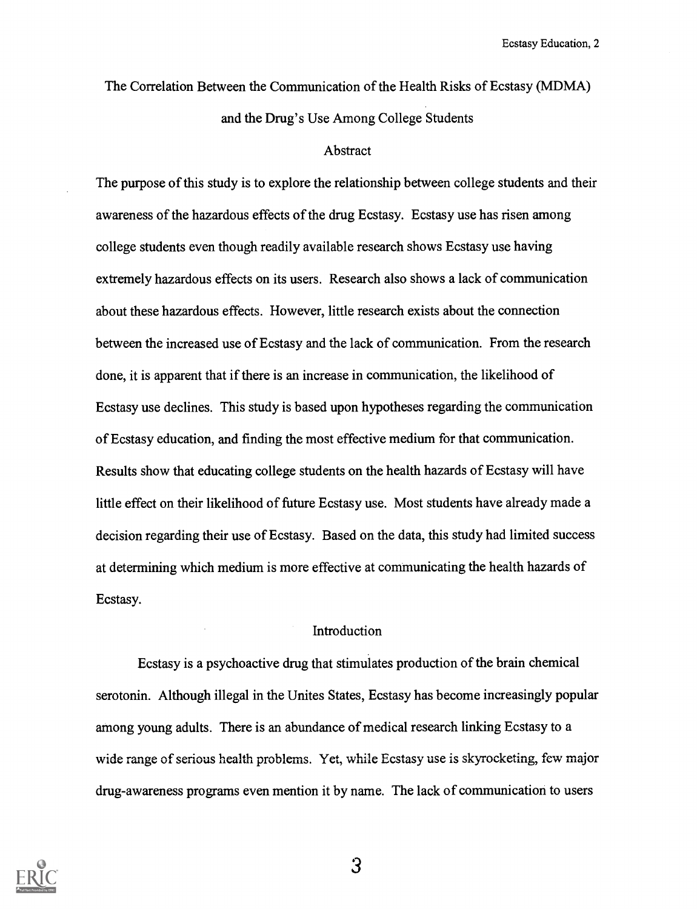The Correlation Between the Communication of the Health Risks of Ecstasy (MDMA) and the Drug's Use Among College Students

#### Abstract

The purpose of this study is to explore the relationship between college students and their awareness of the hazardous effects of the drug Ecstasy. Ecstasy use has risen among college students even though readily available research shows Ecstasy use having extremely hazardous effects on its users. Research also shows a lack of communication about these hazardous effects. However, little research exists about the connection between the increased use of Ecstasy and the lack of communication. From the research done, it is apparent that if there is an increase in communication, the likelihood of Ecstasy use declines. This study is based upon hypotheses regarding the communication of Ecstasy education, and finding the most effective medium for that communication. Results show that educating college students on the health hazards of Ecstasy will have little effect on their likelihood of future Ecstasy use. Most students have already made a decision regarding their use of Ecstasy. Based on the data, this study had limited success at determining which medium is more effective at communicating the health hazards of Ecstasy.

#### Introduction

Ecstasy is a psychoactive drug that stimulates production of the brain chemical serotonin. Although illegal in the Unites States, Ecstasy has become increasingly popular among young adults. There is an abundance of medical research linking Ecstasy to a wide range of serious health problems. Yet, while Ecstasy use is skyrocketing, few major drug-awareness programs even mention it by name. The lack of communication to users

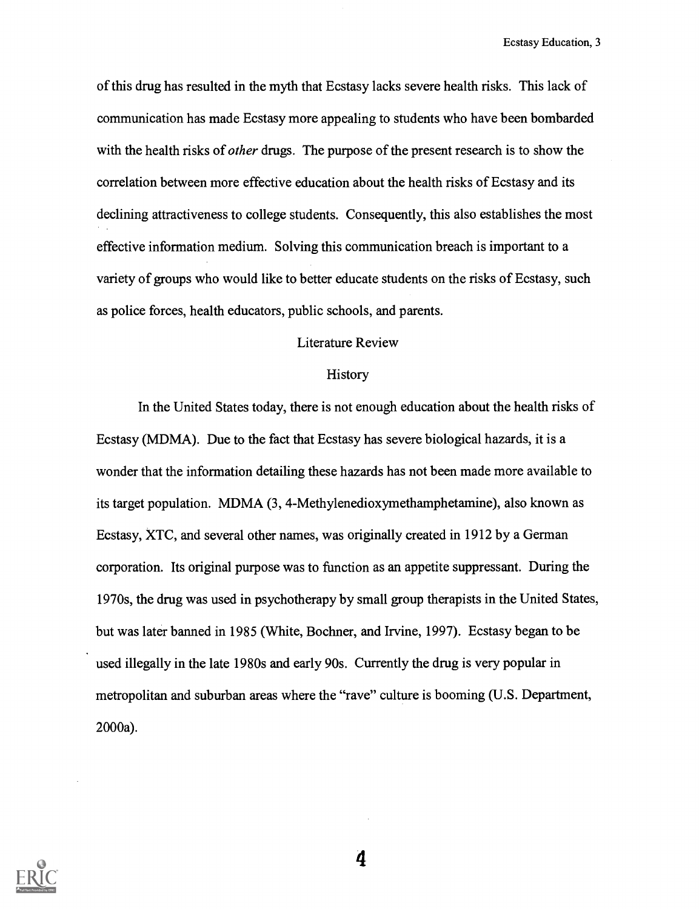of this drug has resulted in the myth that Ecstasy lacks severe health risks. This lack of communication has made Ecstasy more appealing to students who have been bombarded with the health risks of *other* drugs. The purpose of the present research is to show the correlation between more effective education about the health risks of Ecstasy and its declining attractiveness to college students. Consequently, this also establishes the most effective information medium. Solving this communication breach is important to a variety of groups who would like to better educate students on the risks of Ecstasy, such as police forces, health educators, public schools, and parents.

## Literature Review

#### History

In the United States today, there is not enough education about the health risks of Ecstasy (MDMA). Due to the fact that Ecstasy has severe biological hazards, it is a wonder that the information detailing these hazards has not been made more available to its target population. MDMA (3, 4-Methylenedioxymethamphetamine), also known as Ecstasy, XTC, and several other names, was originally created in 1912 by a German corporation. Its original purpose was to function as an appetite suppressant. During the 1970s, the drug was used in psychotherapy by small gioup therapists in the United States, but was later banned in 1985 (White, Bochner, and Irvine, 1997). Ecstasy began to be used illegally in the late 1980s and early 90s. Currently the drug is very popular in metropolitan and suburban areas where the "rave" culture is booming (U.S. Department, 2000a).

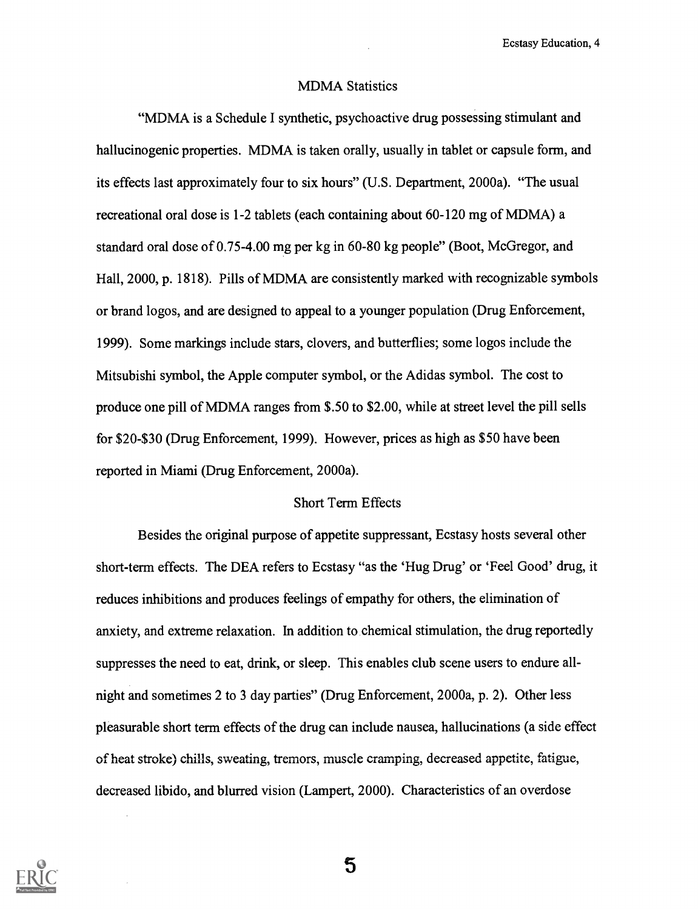#### MDMA Statistics

"MDMA is a Schedule I synthetic, psychoactive drug possessing stimulant and hallucinogenic properties. MDMA is taken orally, usually in tablet or capsule form, and its effects last approximately four to six hours" (U.S. Department, 2000a). "The usual recreational oral dose is 1-2 tablets (each containing about 60-120 mg of MDMA) a standard oral dose of 0.75-4.00 mg per kg in 60-80 kg people" (Boot, McGregor, and Hall, 2000, p. 1818). Pills of MDMA are consistently marked with recognizable symbols or brand logos, and are designed to appeal to a younger population (Drug Enforcement, 1999). Some markings include stars, clovers, and butterflies; some logos include the Mitsubishi symbol, the Apple computer symbol, or the Adidas symbol. The cost to produce one pill of MDMA ranges from \$.50 to \$2.00, while at street level the pill sells for \$20-\$30 (Drug Enforcement, 1999). However, prices as high as \$50 have been reported in Miami (Drug Enforcement, 2000a).

#### Short Term Effects

Besides the original purpose of appetite suppressant, Ecstasy hosts several other short-term effects. The DEA refers to Ecstasy "as the 'Hug Drug' or 'Feel Good' drug, it reduces inhibitions and produces feelings of empathy for others, the elimination of anxiety, and extreme relaxation. In addition to chemical stimulation, the drug reportedly suppresses the need to eat, drink, or sleep. This enables club scene users to endure allnight and sometimes 2 to 3 day parties" (Drug Enforcement, 2000a, p. 2). Other less pleasurable short term effects of the drug can include nausea, hallucinations (a side effect of heat stoke) chills, sweating, tremors, muscle cramping, decreased appetite, fatigue, decreased libido, and blurred vision (Lampert, 2000). Characteristics of an overdose

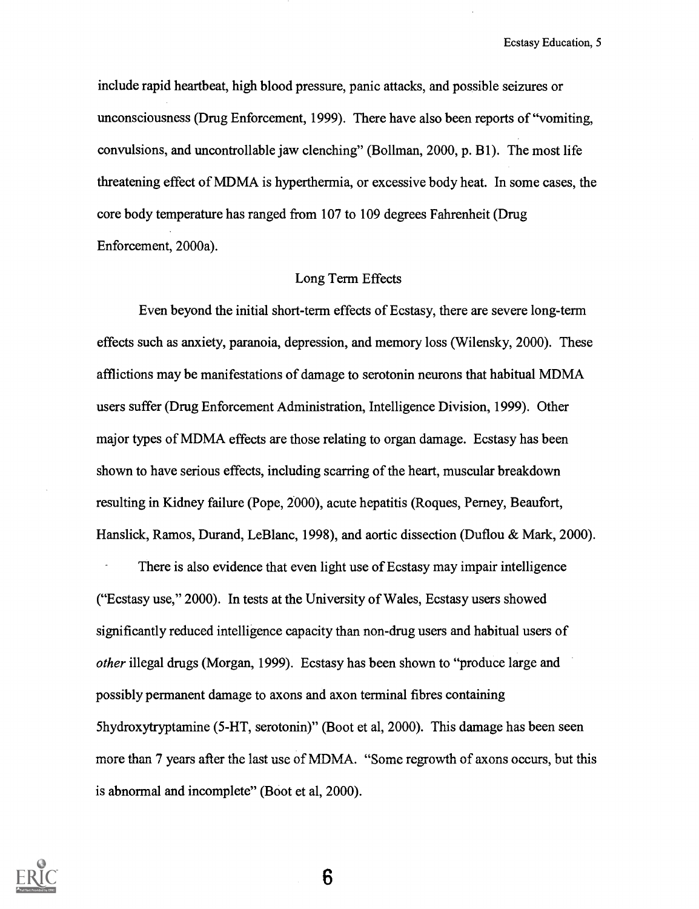include rapid heartbeat, high blood pressure, panic attacks, and possible seizures or unconsciousness (Drug Enforcement, 1999). There have also been reports of "vomiting, convulsions, and uncontrollable jaw clenching" (Bollman, 2000, p. B1). The most life threatening effect of MDMA is hyperthennia, or excessive body heat. In some cases, the core body temperature has ranged from 107 to 109 degrees Fahrenheit (Drug Enforcement, 2000a).

#### Long Term Effects

Even beyond the initial short-term effects of Ecstasy, there are severe long-term effects such as anxiety, paranoia, depression, and memory loss (Wilensky, 2000). These afflictions may be manifestations of damage to serotonin neurons that habitual MDMA users suffer (Drug Enforcement Administration, Intelligence Division, 1999). Other major types of MDMA effects are those relating to organ damage. Ecstasy has been shown to have serious effects, including scarring of the heart, muscular breakdown resulting in Kidney failure (Pope, 2000), acute hepatitis (Rogues, Perney, Beaufort, Hanslick, Ramos, Durand, LeBlanc, 1998), and aortic dissection (Duflou & Mark, 2000).

There is also evidence that even light use of Ecstasy may impair intelligence ("Ecstasy use," 2000). In tests at the University of Wales, Ecstasy users showed significantly reduced intelligence capacity than non-drug users and habitual users of other illegal drugs (Morgan, 1999). Ecstasy has been shown to "produce large and possibly permanent damage to axons and axon terminal fibres containing 5hydroxytryptamine (5-HT, serotonin)" (Boot et al, 2000). This damage has been seen more than 7 years after the last use of MDMA. "Some regrowth of axons occurs, but this is abnormal and incomplete" (Boot et al, 2000).

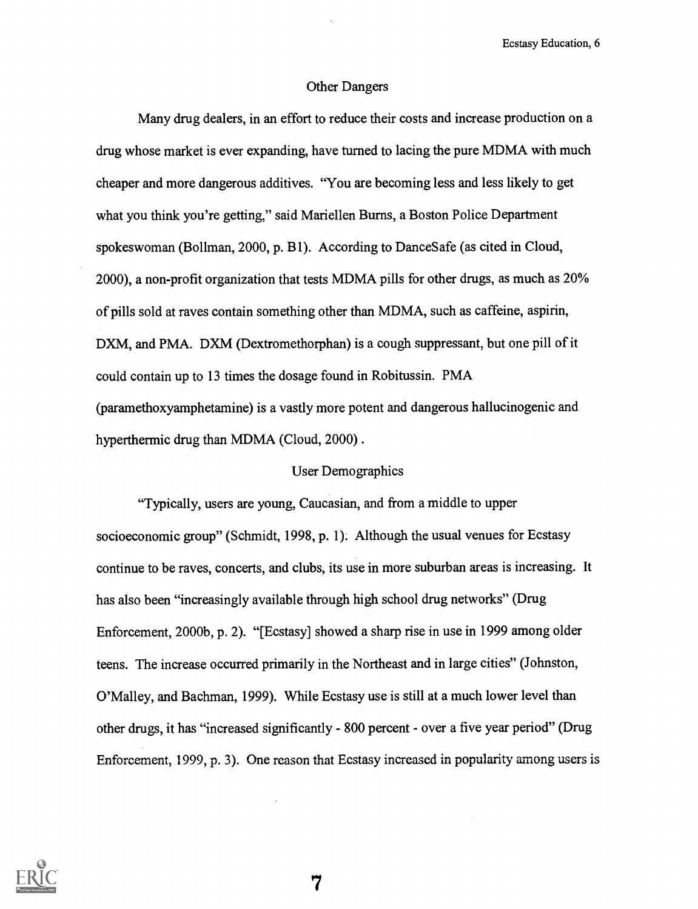#### Other Dangers

Many drug dealers, in an effort to reduce their costs and increase production on a drug whose market is ever expanding, have turned to lacing the pure MDMA with much cheaper and more dangerous additives. "You are becoming less and less likely to get what you think you're getting," said Mariellen Burns, a Boston Police Department spokeswoman (Bollman, 2000, p. B1). According to DanceSafe (as cited in Cloud, 2000), a non-profit organization that tests MDMA pills for other drugs, as much as 20% of pills sold at raves contain something other than MDMA, such as caffeine, aspirin, DXM, and PMA. DXM (Dextromethorphan) is a cough suppressant, but one pill of it could contain up to 13 times the dosage found in Robitussin. PMA (paramethoxyamphetamine) is a vastly more potent and dangerous hallucinogenic and hyperthermic drug than MDMA (Cloud, 2000) .

### User Demographics

"Typically, users are young, Caucasian, and from a middle to upper socioeconomic group" (Schmidt, 1998, p. 1). Although the usual venues for Ecstasy continue to be raves, concerts, and clubs, its use in more suburban areas is increasing. It has also been "increasingly available through high school drug networks" (Drug Enforcement, 2000b, p. 2). "[Ecstasy] showed a sharp rise in use in 1999 among older teens. The increase occurred primarily in the Northeast and in large cities" (Johnston, O'Malley, and Bachman, 1999). While Ecstasy use is still at a much lower level than other drugs, it has "increased significantly - 800 percent - over a five year period" (Drug Enforcement, 1999, p. 3). One reason that Ecstasy increased in popularity among users is

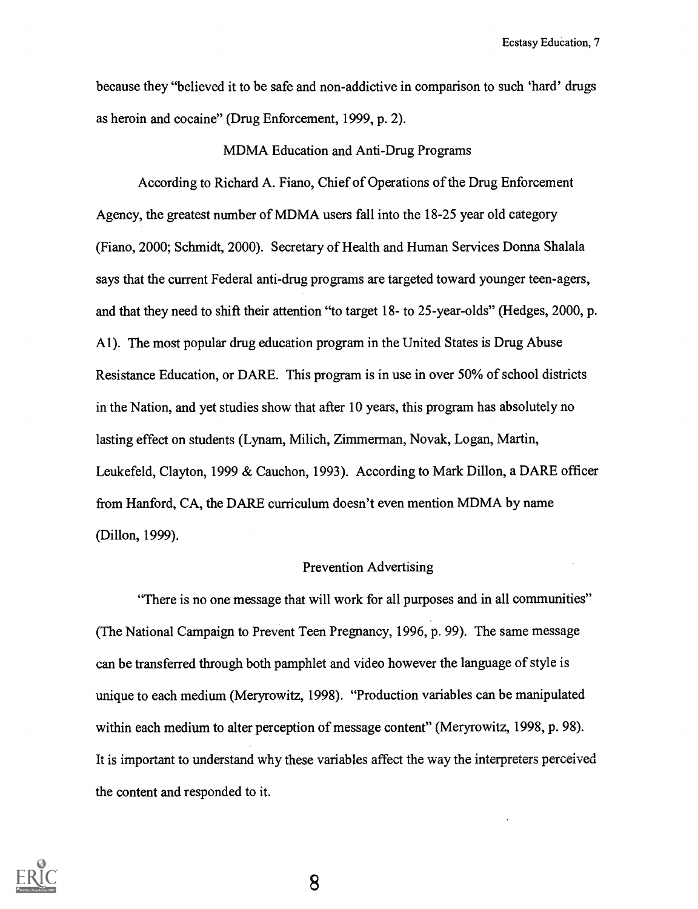because they "believed it to be safe and non-addictive in comparison to such 'hard' drugs as heroin and cocaine" (Drug Enforcement, 1999, P. 2).

#### MDMA Education and Anti-Drug Programs

According to Richard A. Fiano, Chief of Operations of the Drug Enforcement Agency, the greatest number of MDMA users fall into the 18-25 year old category (Fiano, 2000; Schmidt, 2000). Secretary of Health and Human Services Donna Shalala says that the current Federal anti-drug programs are targeted toward younger teen-agers, and that they need to shift their attention "to target 18- to 25-year-olds" (Hedges, 2000, p. Al). The most popular drug education program in the United States is Drug Abuse Resistance Education, or DARE. This program is in use in over 50% of school districts in the Nation, and yet studies show that after 10 years, this program has absolutely no lasting effect on students (Lynam, Milich, Zimmerman, Novak, Logan, Martin, Leukefeld, Clayton, 1999 & Cauchon, 1993). According to Mark Dillon, a DARE officer from Hanford, CA, the DARE curriculum doesn't even mention MDMA by name (Dillon, 1999).

### Prevention Advertising

"There is no one message that will work for all purposes and in all communities" (The National Campaign to Prevent Teen Pregnancy, 1996, p. 99). The same message can be transferred through both pamphlet and video however the language of style is unique to each medium (Meryrowitz, 1998). "Production variables can be manipulated within each medium to alter perception of message content" (Meryrowitz, 1998, p. 98). It is important to understand why these variables affect the way the interpreters perceived the content and responded to it.

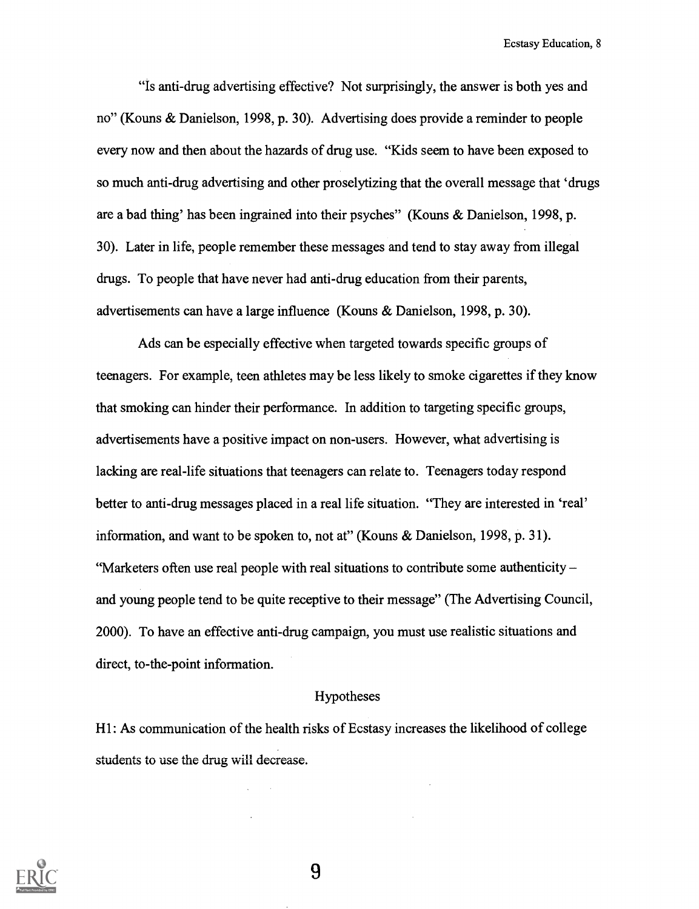"Is anti-drug advertising effective? Not surprisingly, the answer is both yes and no" (Kouns & Danielson, 1998, P. 30). Advertising does provide a reminder to people every now and then about the hazards of drug use. "Kids seem to have been exposed to so much anti-drug advertising and other proselytizing that the overall message that 'drugs are a bad thing' has been ingrained into their psyches" (Kouns & Danielson, 1998, p. 30). Later in life, people remember these messages and tend to stay away from illegal drugs. To people that have never had anti-drug education from their parents, advertisements can have a large influence (Kouns & Danielson, 1998, p. 30).

Ads can be especially effective when targeted towards specific groups of teenagers. For example, teen athletes may be less likely to smoke cigarettes if they know that smoking can hinder their performance. In addition to targeting specific groups, advertisements have a positive impact on non-users. However, what advertising is lacking are real-life situations that teenagers can relate to. Teenagers today respond better to anti-drug messages placed in a real life situation. "They are interested in 'real' information, and want to be spoken to, not at" (Kouns & Danielson, 1998, p. 31). "Marketers often use real people with real situations to contribute some authenticity  $$ and young people tend to be quite receptive to their message" (The Advertising Council, 2000). To have an effective anti-drug campaign, you must use realistic situations and direct, to-the-point information.

### Hypotheses

Hl: As communication of the health risks of Ecstasy increases the likelihood of college students to use the drug will decrease.

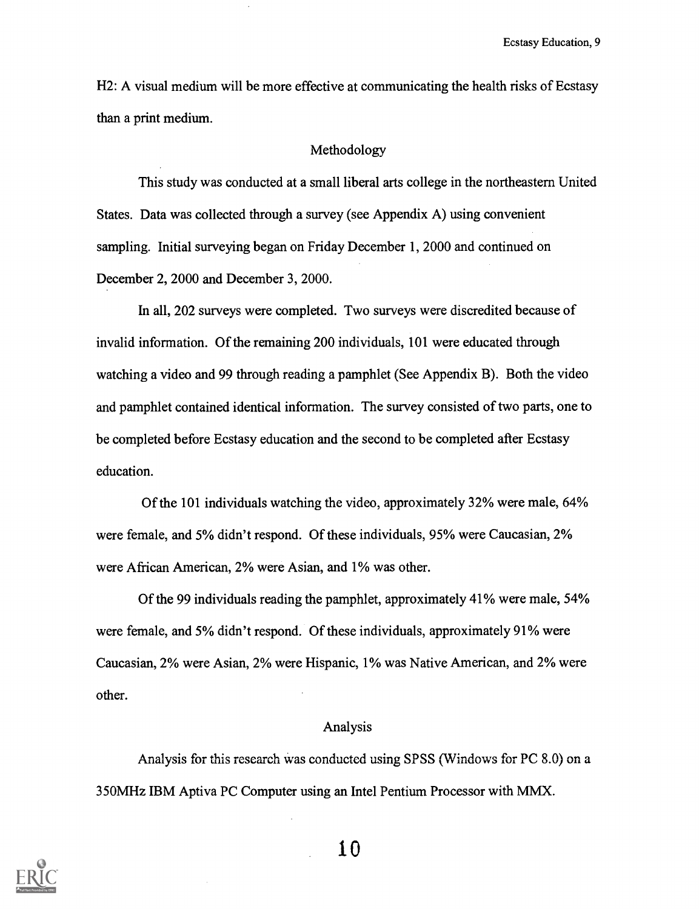H2: A visual medium will be more effective at communicating the health risks of Ecstasy than a print medium.

#### Methodology

This study was conducted at a small liberal arts college in the northeastern United States. Data was collected through a survey (see Appendix A) using convenient sampling. Initial surveying began on Friday December 1, 2000 and continued on December 2, 2000 and December 3, 2000.

In all, 202 surveys were completed. Two surveys were discredited because of invalid information. Of the remaining 200 individuals, 101 were educated through watching a video and 99 through reading a pamphlet (See Appendix B). Both the video and pamphlet contained identical information. The survey consisted of two parts, one to be completed before Ecstasy education and the second to be completed after Ecstasy education.

Of the 101 individuals watching the video, approximately 32% were male, 64% were female, and 5% didn't respond. Of these individuals, 95% were Caucasian, 2% were African American, 2% were Asian, and 1% was other.

Of the 99 individuals reading the pamphlet, approximately 41% were male, 54% were female, and 5% didn't respond. Of these individuals, approximately 91% were Caucasian, 2% were Asian, 2% were Hispanic, 1% was Native American, and 2% were other.

### Analysis

Analysis for this research Was conducted using SPSS (Windows for PC 8.0) on a 350MHz IBM Aptiva PC Computer using an Intel Pentium Processor with MMX.

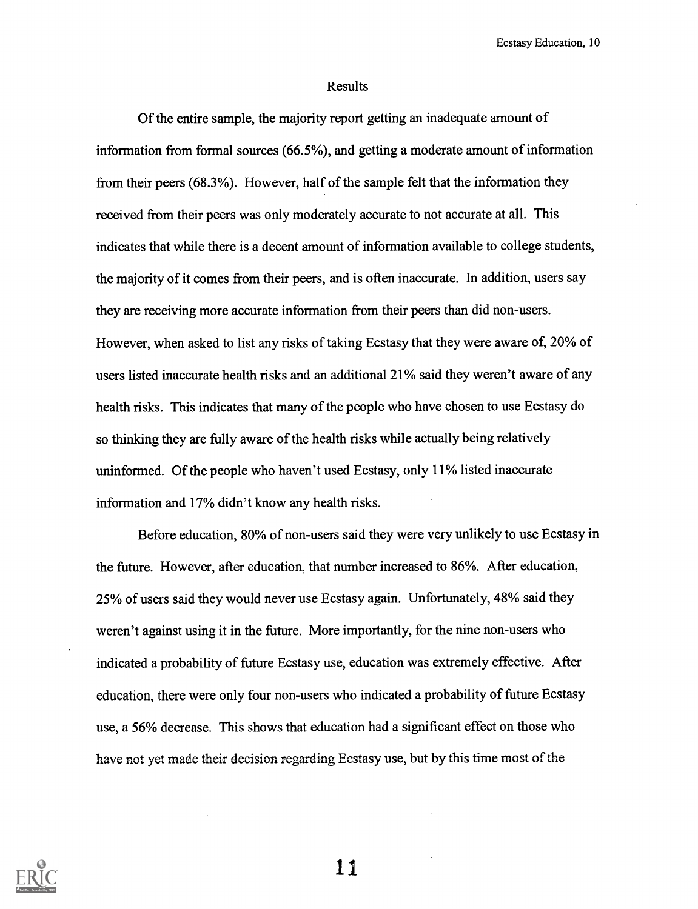#### Results

Of the entire sample, the majority report getting an inadequate amount of information from formal sources (66.5%), and getting a moderate amount of information from their peers (68.3%). However, half of the sample felt that the information they received from their peers was only moderately accurate to not accurate at all. This indicates that while there is a decent amount of information available to college students, the majority of it comes from their peers, and is often inaccurate. In addition, users say they are receiving more accurate information from their peers than did non-users. However, when asked to list any risks of taking Ecstasy that they were aware of, 20% of users listed inaccurate health risks and an additional 21% said they weren't aware of any health risks. This indicates that many of the people who have chosen to use Ecstasy do so thinking they are fully aware of the health risks while actually being relatively uninformed. Of the people who haven't used Ecstasy, only 11% listed inaccurate information and 17% didn't know any health risks.

Before education, 80% of non-users said they were very unlikely to use Ecstasy in the future. However, after education, that number increased to 86%. After education, 25% of users said they would never use Ecstasy again. Unfortunately, 48% said they weren't against using it in the future. More importantly, for the nine non-users who indicated a probability of future Ecstasy use, education was extremely effective. After education, there were only four non-users who indicated a probability of future Ecstasy use, a 56% decrease. This shows that education had a significant effect on those who have not yet made their decision regarding Ecstasy use, but by this time most of the

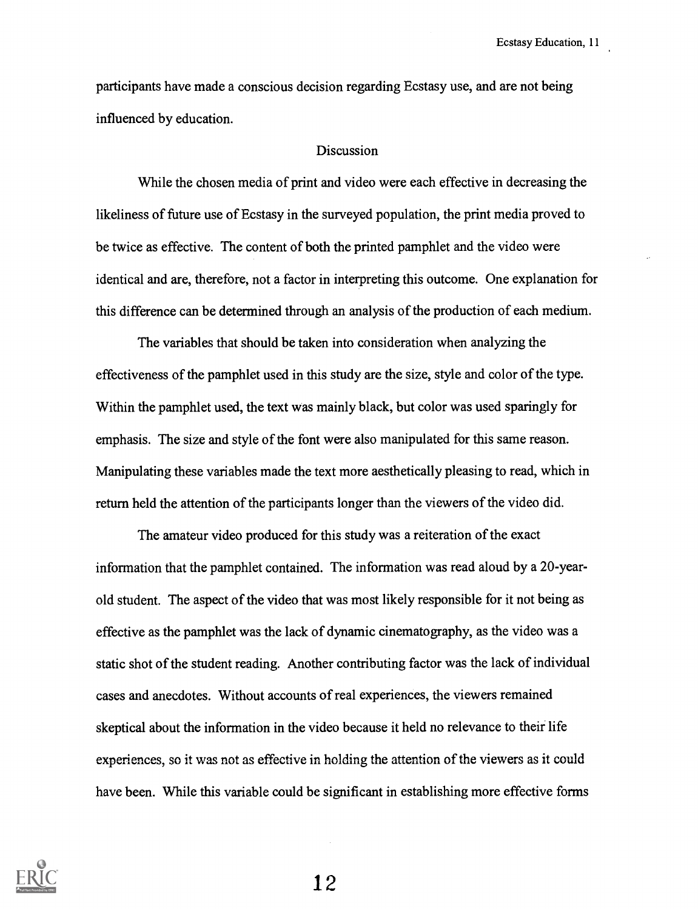participants have made a conscious decision regarding Ecstasy use, and are not being influenced by education.

### **Discussion**

While the chosen media of print and video were each effective in decreasing the likeliness of future use of Ecstasy in the surveyed population, the print media proved to be twice as effective. The content of both the printed pamphlet and the video were identical and are, therefore, not a factor in interpreting this outcome. One explanation for this difference can be determined through an analysis of the production of each medium.

The variables that should be taken into consideration when analyzing the effectiveness of the pamphlet used in this study are the size, style and color of the type. Within the pamphlet used, the text was mainly black, but color was used sparingly for emphasis. The size and style of the font were also manipulated for this same reason. Manipulating these variables made the text more aesthetically pleasing to read, which in return held the attention of the participants longer than the viewers of the video did.

The amateur video produced for this study was a reiteration of the exact information that the pamphlet contained. The information was read aloud by a 20-yearold student. The aspect of the video that was most likely responsible for it not being as effective as the pamphlet was the lack of dynamic cinematography, as the video was a static shot of the student reading. Another contributing factor was the lack of individual cases and anecdotes. Without accounts of real experiences, the viewers remained skeptical about the information in the video because it held no relevance to their life experiences, so it was not as effective in holding the attention of the viewers as it could have been. While this variable could be significant in establishing more effective forms

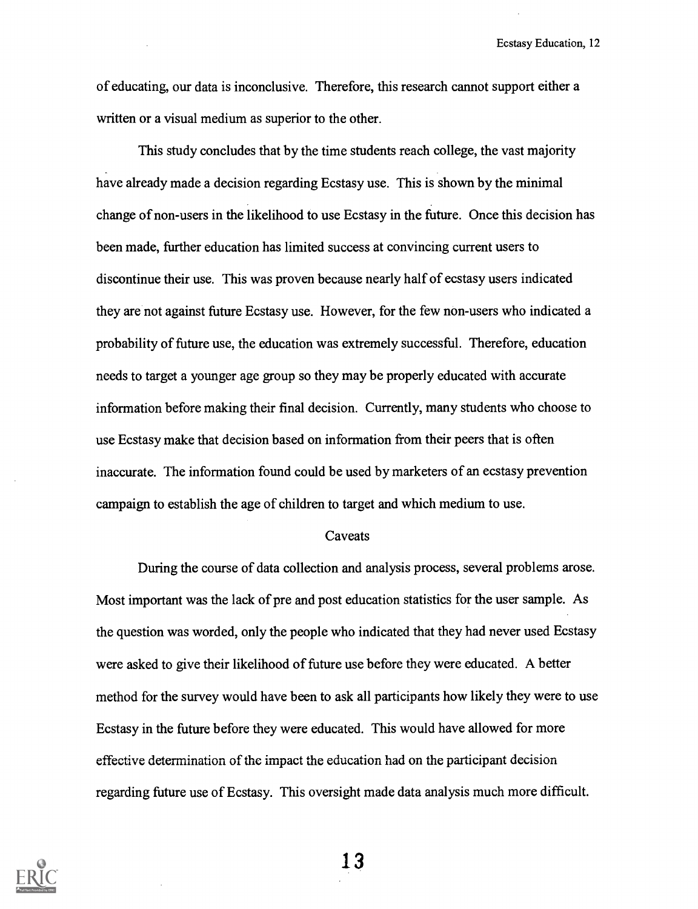of educating, our data is inconclusive. Therefore, this research cannot support either a written or a visual medium as superior to the other.

This study concludes that by the time students reach college, the vast majority have already made a decision regarding Ecstasy use. This is shown by the minimal change of non-users in the likelihood to use Ecstasy in the future. Once this decision has been made, further education has limited success at convincing current users to discontinue their use. This was proven because nearly half of ecstasy users indicated they are not against future Ecstasy use. However, for the few non-users who indicated a probability of future use, the education was extremely successful. Therefore, education needs to target a younger age group so they may be properly educated with accurate information before making their final decision. Currently, many students who choose to use Ecstasy make that decision based on information from their peers that is often inaccurate. The information found could be used by marketers of an ecstasy prevention campaign to establish the age of children to target and which medium to use.

#### Caveats

During the course of data collection and analysis process, several problems arose. Most important was the lack of pre and post education statistics for the user sample. As the question was worded, only the people who indicated that they had never used Ecstasy were asked to give their likelihood of future use before they were educated. A better method for the survey would have been to ask all participants how likely they were to use Ecstasy in the future before they were educated. This would have allowed for more effective determination of the impact the education had on the participant decision regarding future use of Ecstasy. This oversight made data analysis much more difficult.

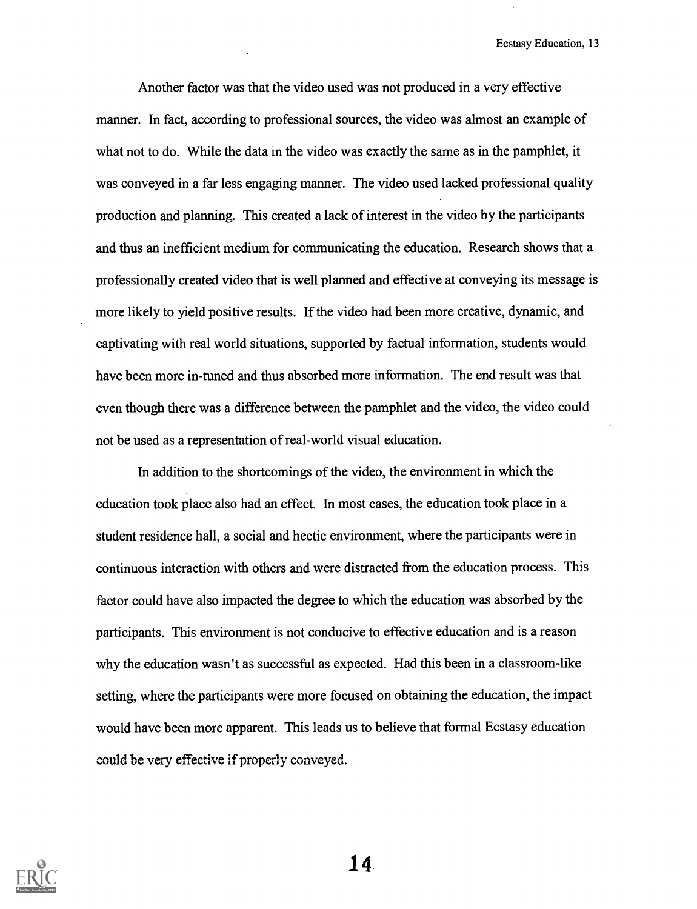Another factor was that the video used was not produced in a very effective manner. In fact, according to professional sources, the video was almost an example of what not to do. While the data in the video was exactly the same as in the pamphlet, it was conveyed in a far less engaging manner. The video used lacked professional quality production and planning. This created a lack of interest in the video by the participants and thus an inefficient medium for communicating the education. Research shows that a professionally created video that is well planned and effective at conveying its message is more likely to yield positive results. If the video had been more creative, dynamic, and captivating with real world situations, supported by factual information, students would have been more in-tuned and thus absorbed more information. The end result was that even though there was a difference between the pamphlet and the video, the video could not be used as a representation of real-world visual education.

In addition to the shortcomings of the video, the environment in which the education took place also had an effect. In most cases, the education took place in a student residence hall, a social and hectic environment, where the participants were in continuous interaction with others and were distracted from the education process. This factor could have also impacted the degee to which the education was absorbed by the participants. This environment is not conducive to effective education and is a reason why the education wasn't as successful as expected. Had this been in a classroom-like setting, where the participants were more focused on obtaining the education, the impact would have been more apparent. This leads us to believe that formal Ecstasy education could be very effective if properly conveyed.

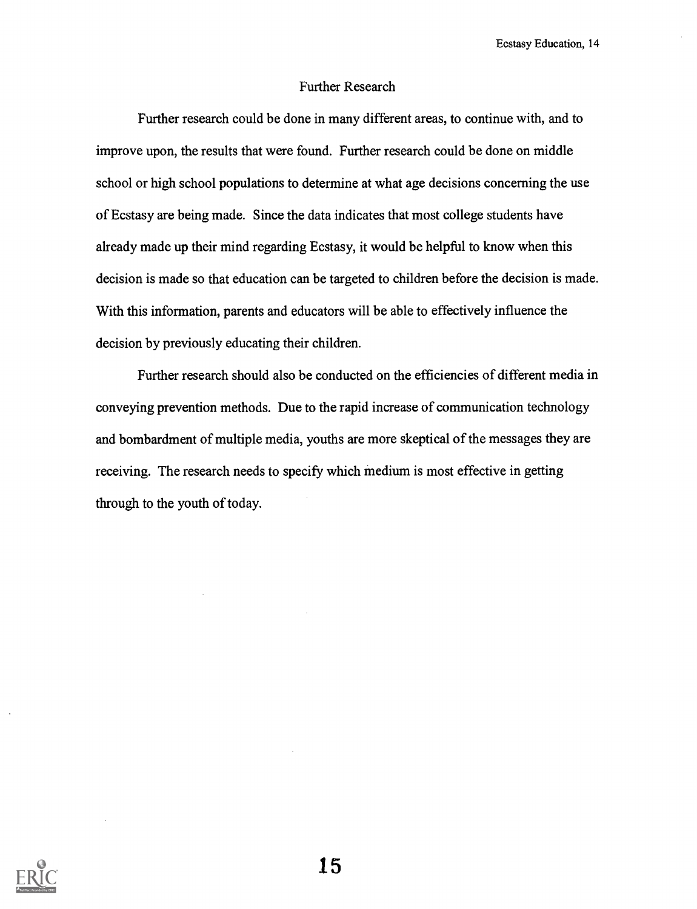### Further Research

Further research could be done in many different areas, to continue with, and to improve upon, the results that were found. Further research could be done on middle school or high school populations to determine at what age decisions concerning the use of Ecstasy are being made. Since the data indicates that most college students have already made up their mind regarding Ecstasy, it would be helpful to know when this decision is made so that education can be targeted to children before the decision is made. With this information, parents and educators will be able to effectively influence the decision by previously educating their children.

Further research should also be conducted on the efficiencies of different media in conveying prevention methods. Due to the rapid increase of communication technology and bombardment of multiple media, youths are more skeptical of the messages they are receiving. The research needs to specify which medium is most effective in getting through to the youth of today.

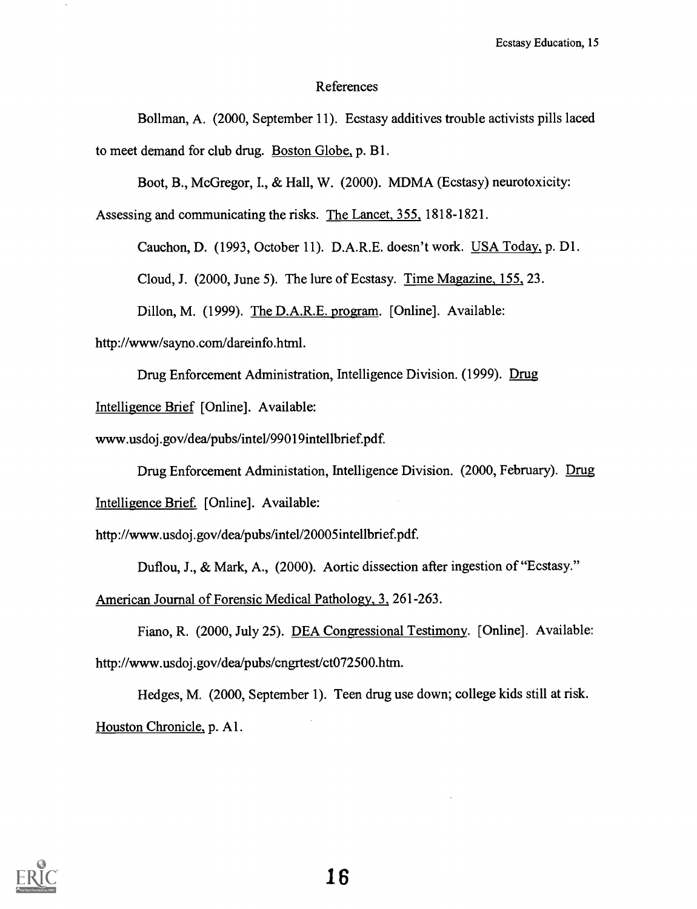### References

Bollman, A. (2000, September 11). Ecstasy additives trouble activists pills laced to meet demand for club drug. Boston Globe, p. B1.

Boot, B., McGregor, I., & Hall, W. (2000). MDMA (Ecstasy) neurotoxicity:

Assessing and communicating the risks. The Lancet, 355., 1818-1821.

Cauchon, D. (1993, October 11). D.A.R.E. doesn't work. USA Today, p. D1.

Cloud, J. (2000, June 5). The lure of Ecstasy. Time Magazine, 155, 23.

Dillon, M. (1999). The D.A.R.E. program. [Online]. Available:

http://www/sayno.com/dareinfo.html.

Drug Enforcement Administration, Intelligence Division. (1999). Drug

Intelligence Brief [Online]. Available:

www.usdoj.gov/dea/pubs/inte1/99019intellbrief.pdf.

Drug Enforcement Administation, Intelligence Division. (2000, February). Drug

Intelligence Brief. [Online]. Available:

http://www.usdoj.gov/dea/pubs/inte1/20005intellbrief.pdf.

Duftou, J., & Mark, A., (2000). Aortic dissection after ingestion of "Ecstasy."

American Journal of Forensic Medical Pathology, 3, 261-263.

Fiano, R. (2000, July 25). DEA Congressional Testimony. [Online]. Available: http://www.usdoj.gov/dea/pubs/cngrtest/ct072500.htm.

Hedges, M. (2000, September 1). Teen drug use down; college kids still at risk. Houston Chronicle, p. A1.

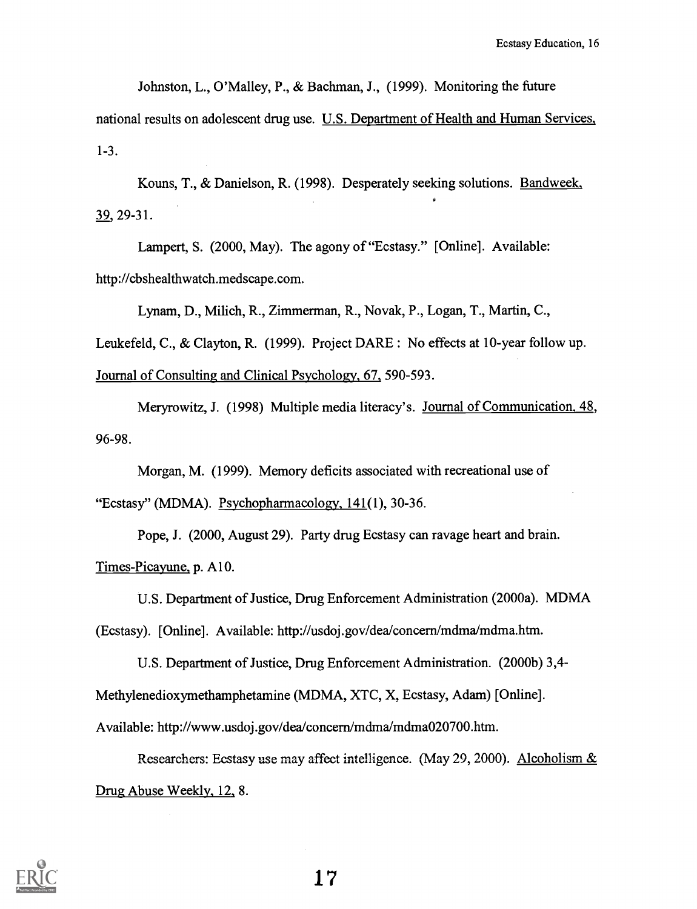Johnston, L., O'Malley, P., & Bachman, J., (1999). Monitoring the future

national results on adolescent drug use. U.S. Department of Health and Human Services, 1-3.

Kouns, T., & Danielson, R. (1998). Desperately seeking solutions. Bandweek, 39, 29-31.

Lampert, S. (2000, May). The agony of "Ecstasy." [Online]. Available: http://cbshealthwatch.medscape.com.

Lynam, D., Milich, R., Zimmerman, R., Novak, P., Logan, T., Martin, C.,

Leukefeld, C., & Clayton, R. (1999). Project DARE : No effects at 10-year follow up.

Journal of Consulting and Clinical Psychology, 67, 590-593.

Meryrowitz, J. (1998) Multiple media literacy's. Journal of Communication, 48, 96-98.

Morgan, M. (1999). Memory deficits associated with recreational use of

"Ecstasy" (MDMA). Psychopharmacology, 141(1), 30-36.

Pope, J. (2000, August 29). Party drug Ecstasy can ravage heart and brain. Times-Picayune, p. A10.

U.S. Department of Justice, Drug Enforcement Administration (2000a). MDMA

(Ecstasy). [Online]. Available: http://usdoj.gov/dealconcern/mdma/mdma.htm.

U.S. Department of Justice, Drug Enforcement Administration. (2000b) 3,4-

Methylenedioxymethamphetamine (MDMA, XTC, X, Ecstasy, Adam) [Online].

Available: http://www.usdoj.gov/dea/concern/mdma/mdma020700.htm.

Researchers: Ecstasy use may affect intelligence. (May 29, 2000). Alcoholism  $&$ Drug Abuse Weekly, 12, 8.

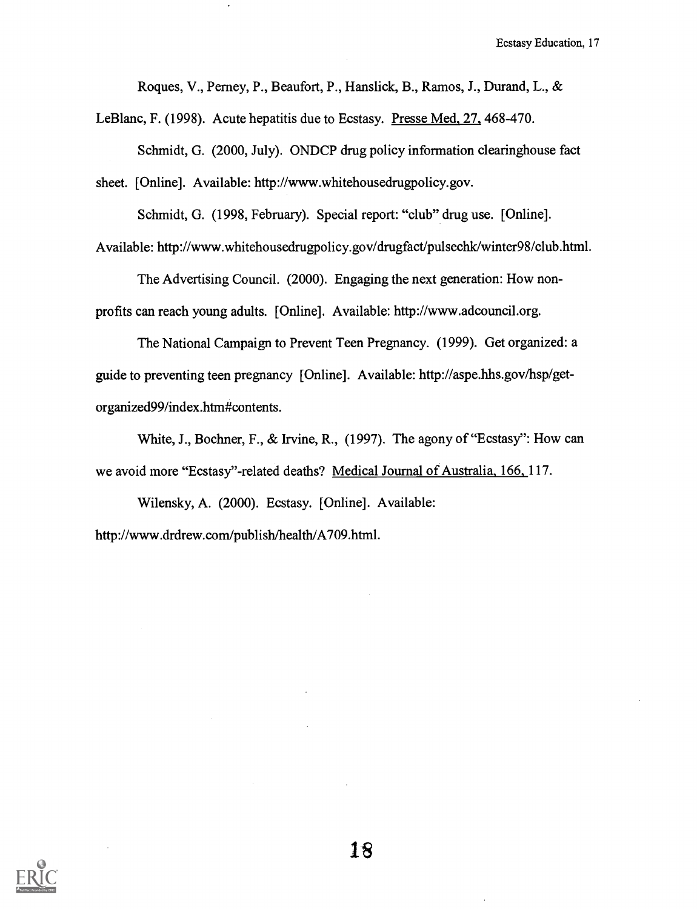Roques, V., Perney, P., Beaufort, P., Hanslick, B., Ramos, J., Durand, L., &

LeBlanc, F. (1998). Acute hepatitis due to Ecstasy. Presse Med, 27, 468-470.

Schmidt, G. (2000, July). ONDCP drug policy information clearinghouse fact sheet. [Online]. Available: http://www.whitehousedrugpolicy.gov.

Schmidt, G. (1998, February). Special report: "club" drug use. [Online].

Available: http://www.whitehousedrugpolicy.gov/drugfact/pulsechk/winter98/club.html.

The Advertising Council. (2000). Engaging the next generation: How nonprofits can reach young adults. [Online]. Available: http://www.adcouncil.org.

The National Campaign to Prevent Teen Pregnancy. (1999). Get organized: a guide to preventing teen pregnancy [Online]. Available: http://aspe.hhs.gov/hsp/getorganized99/index.htm#contents.

White, J., Bochner, F., & Irvine, R., (1997). The agony of "Ecstasy": How can we avoid more "Ecstasy"-related deaths? Medical Journal of Australia, 166, 117.

Wilensky, A. (2000). Ecstasy. [Online]. Available: http://www.drdrew.com/publish/health/A709.html.

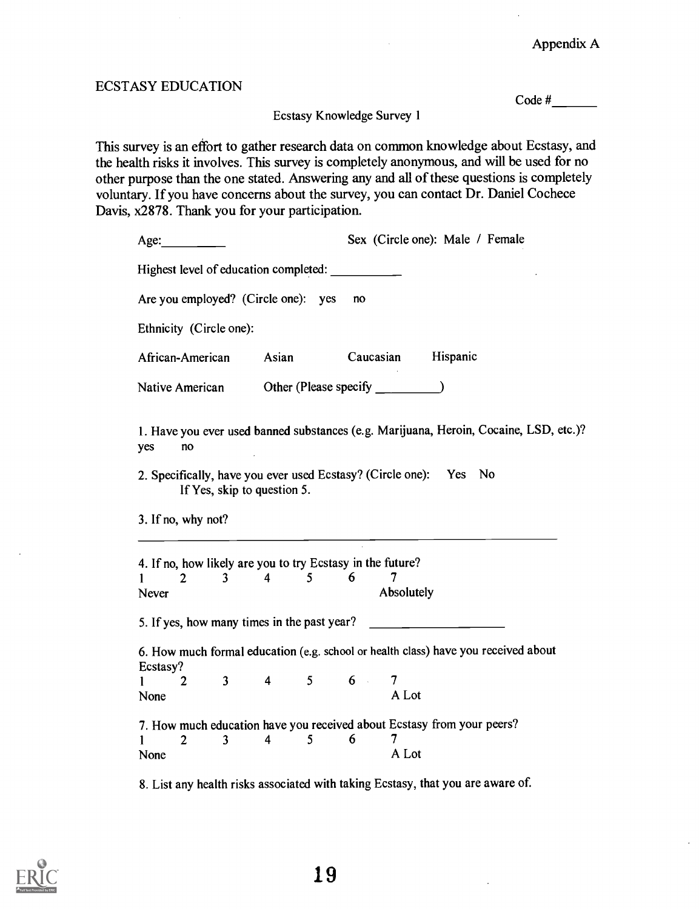## ECSTASY EDUCATION

Code #

Ecstasy Knowledge Survey 1

This survey is an effort to gather research data on common knowledge about Ecstasy, and the health risks it involves. This survey is completely anonymous, and will be used for no other purpose than the one stated. Answering any and all of these questions is completely voluntary. If you have concerns about the survey, you can contact Dr. Daniel Cochece Davis, x2878. Thank you for your participation.

| Age:                                                                                                          | Sex (Circle one): Male / Female                                                       |  |  |  |  |
|---------------------------------------------------------------------------------------------------------------|---------------------------------------------------------------------------------------|--|--|--|--|
| Highest level of education completed:                                                                         |                                                                                       |  |  |  |  |
| Are you employed? (Circle one): yes                                                                           | n <sub>O</sub>                                                                        |  |  |  |  |
| Ethnicity (Circle one):                                                                                       |                                                                                       |  |  |  |  |
| African-American<br>Asian                                                                                     | Caucasian Hispanic                                                                    |  |  |  |  |
|                                                                                                               |                                                                                       |  |  |  |  |
| yes<br>no<br>2. Specifically, have you ever used Ecstasy? (Circle one): Yes No<br>If Yes, skip to question 5. | 1. Have you ever used banned substances (e.g. Marijuana, Heroin, Cocaine, LSD, etc.)? |  |  |  |  |
| 3. If no, why not?<br><u> 2000 - Jan Barnett, amerikansk politik (d. 1982)</u>                                |                                                                                       |  |  |  |  |
| 4. If no, how likely are you to try Ecstasy in the future?                                                    |                                                                                       |  |  |  |  |
| $3 \quad 4$<br>$5 \qquad 6$<br>$\overline{2}$<br>$\mathbf{1}$                                                 | 7.                                                                                    |  |  |  |  |
| Never                                                                                                         | Absolutely                                                                            |  |  |  |  |
| 5. If yes, how many times in the past year?                                                                   |                                                                                       |  |  |  |  |
| Ecstasy?                                                                                                      | 6. How much formal education (e.g. school or health class) have you received about    |  |  |  |  |
| $4 \quad 5 \quad 6$<br>$3^{\circ}$<br>$\overline{2}$<br>1                                                     | 7                                                                                     |  |  |  |  |
| None                                                                                                          | A Lot                                                                                 |  |  |  |  |
| 7. How much education have you received about Ecstasy from your peers?                                        |                                                                                       |  |  |  |  |
| $\overline{2}$<br>$\overline{4}$<br>5<br>$\overline{3}$<br>1                                                  | 6<br>7                                                                                |  |  |  |  |
| None                                                                                                          | A Lot                                                                                 |  |  |  |  |
| 8. List any health risks associated with taking Ecstasy, that you are aware of.                               |                                                                                       |  |  |  |  |

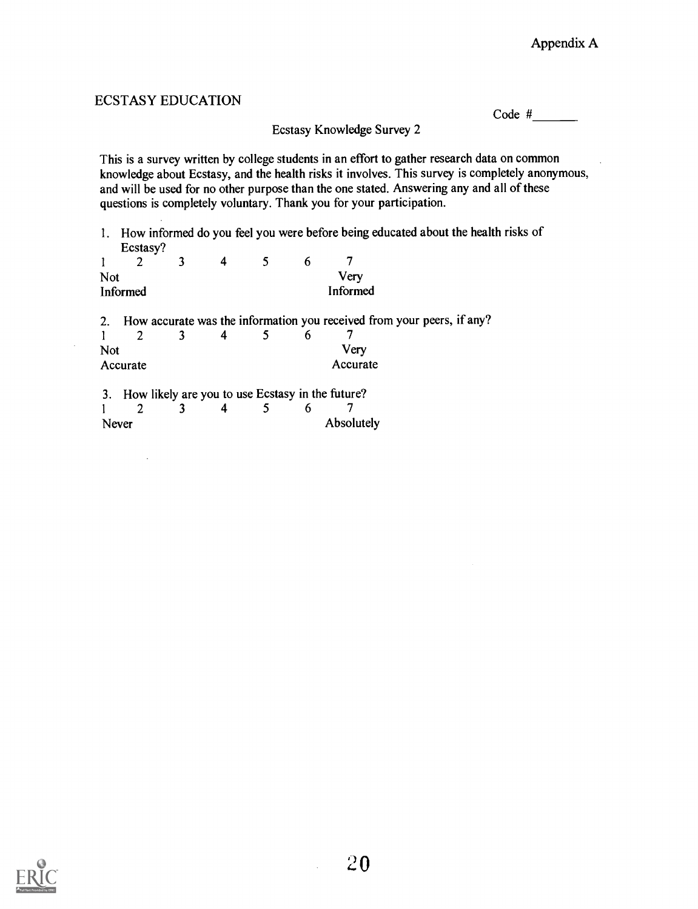# ECSTASY EDUCATION Ecstasy Knowledge Survey 2 Code # This is a survey written by college students in an effort to gather research data on common knowledge about Ecstasy, and the health risks it involves. This survey is completely anonymous, and will be used for no other purpose than the one stated. Answering any and all of these questions is completely voluntary. Thank you for your participation. 1. How informed do you feel you were before being educated about the health risks of Ecstasy?  $\frac{2}{3}$ <sup>1</sup> 2 3 4 5 6 7 Not Very Informed Informed 2. How accurate was the information you received from your peers, if any?<br>  $\frac{1}{2}$   $\frac{2}{3}$   $\frac{3}{4}$   $\frac{4}{5}$   $\frac{6}{7}$ <sup>1</sup> 2 3 4 5 6 7 Not Very Accurate Accurate Accurate 3. How likely are you to use Ecstasy in the future?<br> $\frac{1}{2}$   $\frac{2}{3}$   $\frac{3}{4}$   $\frac{5}{5}$   $\frac{6}{7}$ <sup>1</sup> 2 3 4 5 6 7

Never Absolutely

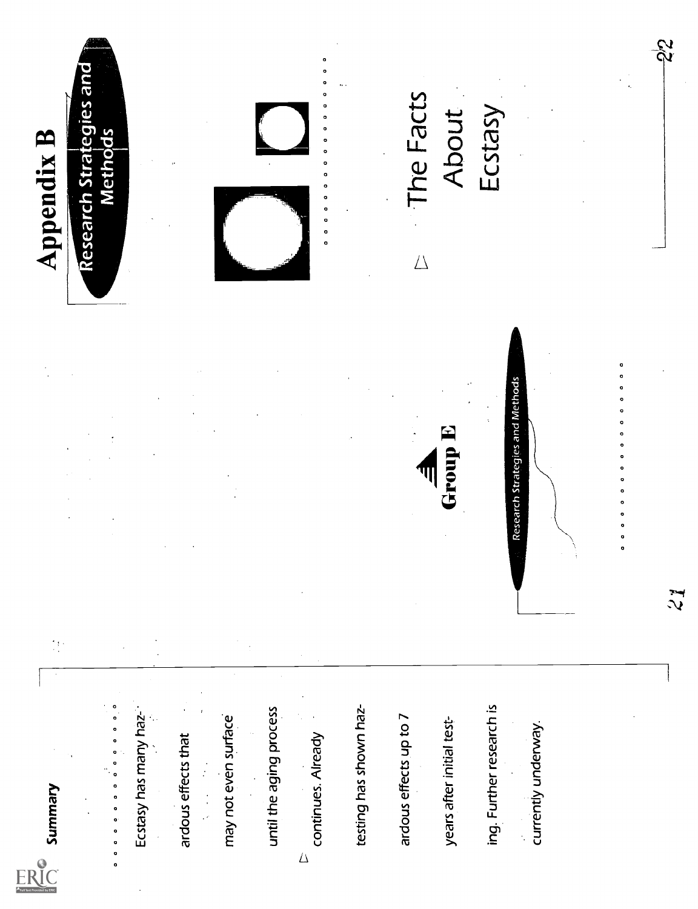

000000000000



Frammers<br>
Examples and the state of the state of the state of the state of the state of the state of the state of the state of the state of the state of the state of the state of the state of the state of the state of the

 $\frac{1}{2}$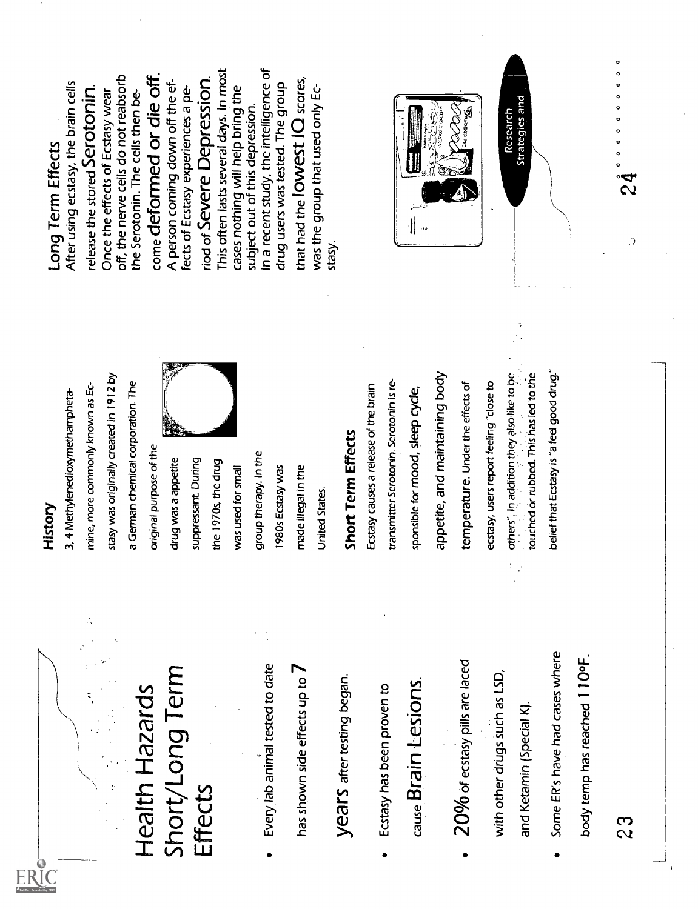

Health Hazards Short/Long Term Effects Every lab animal tested to date has shown side effects up to 7 years after testing began. Ecstasy has been proven to cause Brain Lesions. 20% of ecstasY pills are laced with other drugs such as LSD, and Ketamin (Special K). Some ER's have had cases where body temp has reached 1 100F. 2 3 History 3, 4 Methylenedioxymethampheta- mine, more commonly known as Ec- stasy was originally created in 1912 by a German chemical corporation. The original purpose of the drug was a appetite suppressant During the 1970s, the drug was used for small group therapy. In the 1980s Ecstasy was made illegal in the United States. Short Term Effects Ecstasy causes a release of the brain transmitter Serotonin. Serotonin is re- sponsible for mood, sleep cycle, appetite, and maintaining body temperature. Under the effects of ecstasy, users report feeling "close to others". In addition they also like to be touched or rubbed. This has led to ttie belief that Ecstasy is "a feel good drug." Long Term Effects After using ecstasy, the brain cells release the stored Serotonin. Once the effects of Ecstasy wear off, the nerve cells do not reabsorb the Serotonin. The cells then be- come deformed or die off. A person coming down off the ef- fects of Ecstasy experiences a pe- riod of Severe Depression. This often lasts several days. In most cases nothing will help bring the subject out of this depression. In a recent study, the intelligence of drug users was tested. The group that had the lowest 10 scores, was the group that used only Ec- stasy. Research Strategies and 0 0 0 0 0 0 0 0 0 0 0 2 4

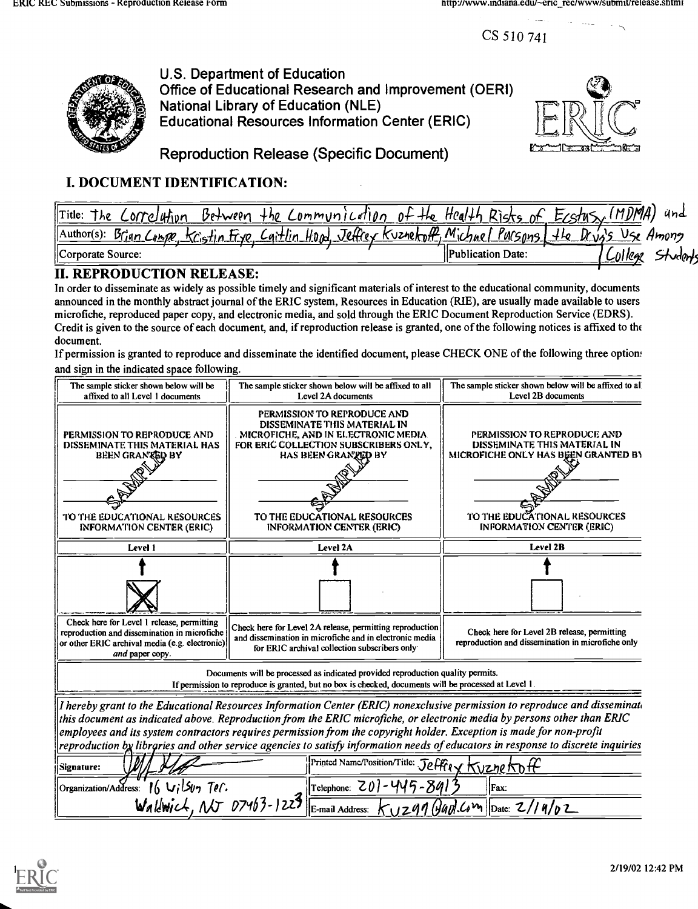CS 510 741



U.S. Department of Education Office of Educational Research and Improvement (OERI) National Library of Education (NLE) Educational Resources Information Center (ERIC)



Reproduction Release (Specific Document)

# I. DOCUMENT IDENTIFICATION:

| of the Health Risks of<br>Between<br>$T$ itle:<br>the Communication<br>Correlation<br>he                                 | (MDMA)<br>$E_{CS}/\sqrt{2}$ | ünd      |
|--------------------------------------------------------------------------------------------------------------------------|-----------------------------|----------|
| Brian Compe, Kristin Frye, Caitlin Hood, Jeffrey Kuznekoff, Michael Pursons, the Drug's Use Among<br>$\Lambda$ uthor(s): |                             |          |
| Corporate Source:<br><b>IPublication Date:</b>                                                                           | UI legl                     | Studants |
|                                                                                                                          |                             |          |

## II. REPRODUCTION RELEASE:

In order to disseminate as widely as possible timely and significant materials of interest to the educational community, documents announced in the monthly abstract journal of the ERIC system, Resources in Education (RIE), are usually made available to users microfiche, reproduced paper copy, and electronic media, and sold through the ERIC Document Reproduction Service (EDRS). Credit is given to the source of each document, and, if reproduction release is granted, one of the following notices is affixed to the document.

If permission is granted to reproduce and disseminate the identified document, please CHECK ONE of the following three options and sign in the indicated space follow'ng.

| The sample sticker shown below will be<br>affixed to all Level 1 documents                                                                                      | The sample sticker shown below will be affixed to all<br>Level 2A documents                                                                                                                                                                                                                                                                                                                                                                                                                                       | The sample sticker shown below will be affixed to all<br>Level 2B documents                                                                                            |  |
|-----------------------------------------------------------------------------------------------------------------------------------------------------------------|-------------------------------------------------------------------------------------------------------------------------------------------------------------------------------------------------------------------------------------------------------------------------------------------------------------------------------------------------------------------------------------------------------------------------------------------------------------------------------------------------------------------|------------------------------------------------------------------------------------------------------------------------------------------------------------------------|--|
| PERMISSION TO REPRODUCE AND<br>DISSEMINATE THIS MATERIAL HAS<br><b>BEEN GRANGED BY</b><br>TO THE EDUCATIONAL RESOURCES<br><b>INFORMATION CENTER (ERIC)</b>      | PERMISSION TO REPRODUCE AND<br>DISSEMINATE THIS MATERIAL IN<br>MICROFICHE, AND IN ELECTRONIC MEDIA.<br>FOR ERIC COLLECTION SUBSCRIBERS ONLY,<br>HAS BEEN GRANTED BY<br>TO THE EDUCATIONAL RESOURCES<br><b>INFORMATION CENTER (ERIC)</b>                                                                                                                                                                                                                                                                           | PERMISSION TO REPRODUCE AND<br>DISSEMINATE THIS MATERIAL IN<br>MICROFICHE ONLY HAS BEEN GRANTED BY<br>TO THE EDUCATIONAL RESOURCES<br><b>INFORMATION CENTER (ERIC)</b> |  |
| Level 1                                                                                                                                                         | Level 2A                                                                                                                                                                                                                                                                                                                                                                                                                                                                                                          | Level 2B                                                                                                                                                               |  |
|                                                                                                                                                                 |                                                                                                                                                                                                                                                                                                                                                                                                                                                                                                                   |                                                                                                                                                                        |  |
| Check here for Level 1 release, permitting<br>reproduction and dissemination in microfiche<br>or other ERIC archival media (e.g. electronic)<br>and paper copy. | Check here for Level 2A release, permitting reproduction<br>and dissemination in microfiche and in electronic media<br>for ERIC archival collection subscribers only                                                                                                                                                                                                                                                                                                                                              | Check here for Level 2B release, permitting<br>reproduction and dissemination in microfiche only                                                                       |  |
|                                                                                                                                                                 | Documents will be processed as indicated provided reproduction quality permits.<br>If permission to reproduce is granted, but no box is checked, documents will be processed at Level 1.                                                                                                                                                                                                                                                                                                                          |                                                                                                                                                                        |  |
|                                                                                                                                                                 | I hereby grant to the Educational Resources Information Center (ERIC) nonexclusive permission to reproduce and disseminate<br>this document as indicated above. Reproduction from the ERIC microfiche, or electronic media by persons other than ERIC<br>employees and its system contractors requires permission from the copyright holder. Exception is made for non-profit<br>reproduction by libraries and other service agencies to satisfy information needs of educators in response to discrete inquiries |                                                                                                                                                                        |  |
| Signature:                                                                                                                                                      | Printed Name/Position/Title: Jeffer X KVzne KDH                                                                                                                                                                                                                                                                                                                                                                                                                                                                   |                                                                                                                                                                        |  |
| $16$ Vilsun Ter.<br>Organization/Address:                                                                                                                       | Telephone: $Z0$ ) - 445 - 841                                                                                                                                                                                                                                                                                                                                                                                                                                                                                     | Fax:                                                                                                                                                                   |  |
| Waldwich, NJ 07463-1223                                                                                                                                         | E-mail Address:                                                                                                                                                                                                                                                                                                                                                                                                                                                                                                   | $K_{U}$ z91 (Hapt. Com Date: $2/19/82$                                                                                                                                 |  |